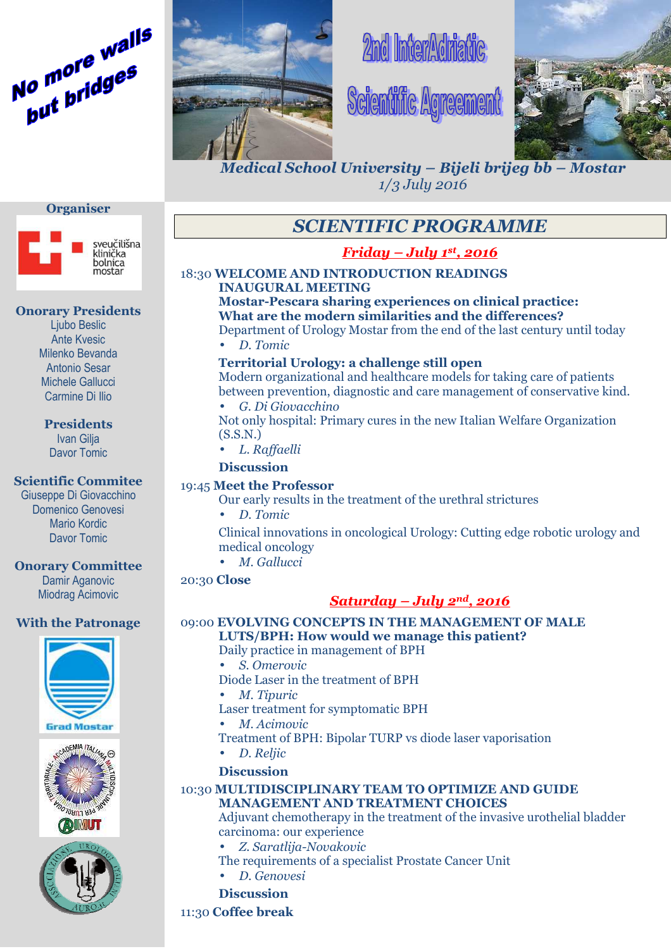



# **2nd InterAdmatic**





*Medical School University – Bijeli brijeg bb – Mostar 1/3 July 2016*

# *SCIENTIFIC PROGRAMME*

# *Friday – July 1st , 2016*

## 18:30 **WELCOME AND INTRODUCTION READINGS INAUGURAL MEETING ELCOME MEETING**

**Mostar-Pescara sharing experiences on clinical practice: What are the modern similarities and the differences?** 

Department of Urology Mostar from the end of the last century until today • *D. Tomic*

# **Territorial Urology: a challenge still open** Modern organizational and healthcare models for taking care of patients f the last century until toda<br> **en**<br>
for taking care of patients<br>
igement of conservative kin<br>
alian Welfare Organization

between prevention, diagnostic and care management of conservative kind. • *G. Di Giovacchino*

Not only hospital: Primary cures in the new Italian (S.S.N.)

• *L. Raffaelli*

#### **Discussion**

#### 19:45 **Meet the Professor**

Our early results in the treatment of the urethral strictures

• *D. Tomic*

Our early results in the treatment of the urethral strictures<br>
• D. Tomic<br>Clinical innovations in oncological Urology: Cutting edge robotic urology and medical oncology

• *M. Gallucci*

#### 20:30 **Close lose**

# *Saturday – July 2nd, 2016*

### 09:00 **EVOLVING CONCEPTS IN THE MANAGEMENT OF MALE LUT LUTS/BPH: How would we manage this patient? ow patient?**

- Daily practice in management of BPH
- *S. Omerovic*
- Diode Laser in the treatment of BPH
- *M M. Tipuric*
- Laser treatment for symptomatic BPH
- *M. Acimovic*
- Treatment of BPH: Bipolar TURP vs diode laser vaporisation
- *D. Reljic*
- **Discussion iscussion**

#### 10:30 **MULTIDISCIPLINARY TEAM TO OPTIMIZE AND GUIDE MANAGEMENT AND TREATMENT CHOICE CHOICES**

Adjuvant chemotherapy in the treatment of the invasive urothelial bladder f carcinoma carcinoma: our experience

- *Z. Saratlija Saratlija-Novakovic*
- The requirements of a specialist Prostate Cancer Unit
- *D. Genovesi*

**Discussion**

11:30 **Coffee break**





#### **Onorary Presidents**

Ljubo Beslic Ante Kvesic Milenko Bevanda Antonio Sesar Michele Gallucci Carmine Di Ilio

# **Presidents**

Ivan Gilja Davor Tomic

#### **Scientific Commitee**

Giuseppe Di Giovacchino Domenico Genovesi Mario Kordic Davor Tomic

### **Onorary Committee**

Damir Aganovic Miodrag Acimovic

# **With the Patronage**